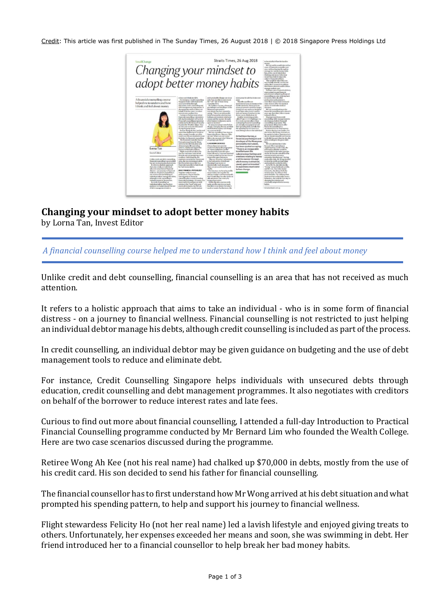Credit: This article was first published in The Sunday Times, 26 August 2018 | © 2018 Singapore Press Holdings Ltd



## **Changing your mindset to adopt better money habits**

by Lorna Tan, Invest Editor

*A financial counselling course helped me to understand how I think and feel about money*

Unlike credit and debt counselling, financial counselling is an area that has not received as much attention.

It refers to a holistic approach that aims to take an individual - who is in some form of financial distress - on a journey to financial wellness. Financial counselling is not restricted to just helping an individual debtor manage his debts, although credit counselling is included as part of the process.

In credit counselling, an individual debtor may be given guidance on budgeting and the use of debt management tools to reduce and eliminate debt.

For instance, Credit Counselling Singapore helps individuals with unsecured debts through education, credit counselling and debt management programmes. It also negotiates with creditors on behalf of the borrower to reduce interest rates and late fees.

Curious to find out more about financial counselling, I attended a full-day Introduction to Practical Financial Counselling programme conducted by Mr Bernard Lim who founded the Wealth College. Here are two case scenarios discussed during the programme.

Retiree Wong Ah Kee (not his real name) had chalked up \$70,000 in debts, mostly from the use of his credit card. His son decided to send his father for financial counselling.

The financial counsellor has to first understand how Mr Wong arrived at his debt situation and what prompted his spending pattern, to help and support his journey to financial wellness.

Flight stewardess Felicity Ho (not her real name) led a lavish lifestyle and enjoyed giving treats to others. Unfortunately, her expenses exceeded her means and soon, she was swimming in debt. Her friend introduced her to a financial counsellor to help break her bad money habits.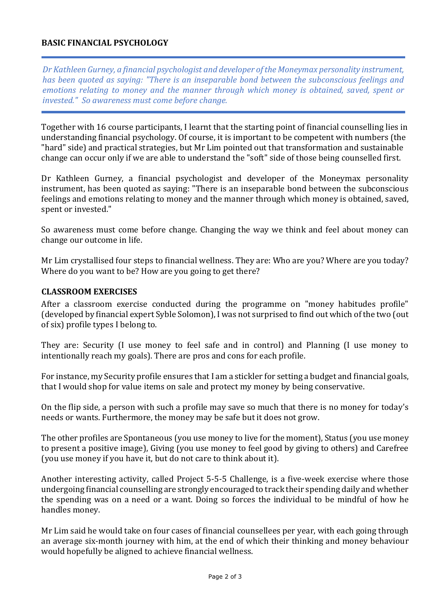## **BASIC FINANCIAL PSYCHOLOGY**

*Dr Kathleen Gurney, a financial psychologist and developer of the Moneymax personality instrument, has been quoted as saying: "There is an inseparable bond between the subconscious feelings and emotions relating to money and the manner through which money is obtained, saved, spent or invested." So awareness must come before change.*

Together with 16 course participants, I learnt that the starting point of financial counselling lies in understanding financial psychology. Of course, it is important to be competent with numbers (the "hard" side) and practical strategies, but Mr Lim pointed out that transformation and sustainable change can occur only if we are able to understand the "soft" side of those being counselled first.

Dr Kathleen Gurney, a financial psychologist and developer of the Moneymax personality instrument, has been quoted as saying: "There is an inseparable bond between the subconscious feelings and emotions relating to money and the manner through which money is obtained, saved, spent or invested."

So awareness must come before change. Changing the way we think and feel about money can change our outcome in life.

Mr Lim crystallised four steps to financial wellness. They are: Who are you? Where are you today? Where do you want to be? How are you going to get there?

## **CLASSROOM EXERCISES**

After a classroom exercise conducted during the programme on "money habitudes profile" (developed by financial expert Syble Solomon), I was not surprised to find out which of the two (out of six) profile types I belong to.

They are: Security (I use money to feel safe and in control) and Planning (I use money to intentionally reach my goals). There are pros and cons for each profile.

For instance, my Security profile ensures that I am a stickler for setting a budget and financial goals, that I would shop for value items on sale and protect my money by being conservative.

On the flip side, a person with such a profile may save so much that there is no money for today's needs or wants. Furthermore, the money may be safe but it does not grow.

The other profiles are Spontaneous (you use money to live for the moment), Status (you use money to present a positive image), Giving (you use money to feel good by giving to others) and Carefree (you use money if you have it, but do not care to think about it).

Another interesting activity, called Project 5-5-5 Challenge, is a five-week exercise where those undergoing financial counselling are strongly encouraged to track their spending daily and whether the spending was on a need or a want. Doing so forces the individual to be mindful of how he handles money.

Mr Lim said he would take on four cases of financial counsellees per year, with each going through an average six-month journey with him, at the end of which their thinking and money behaviour would hopefully be aligned to achieve financial wellness.